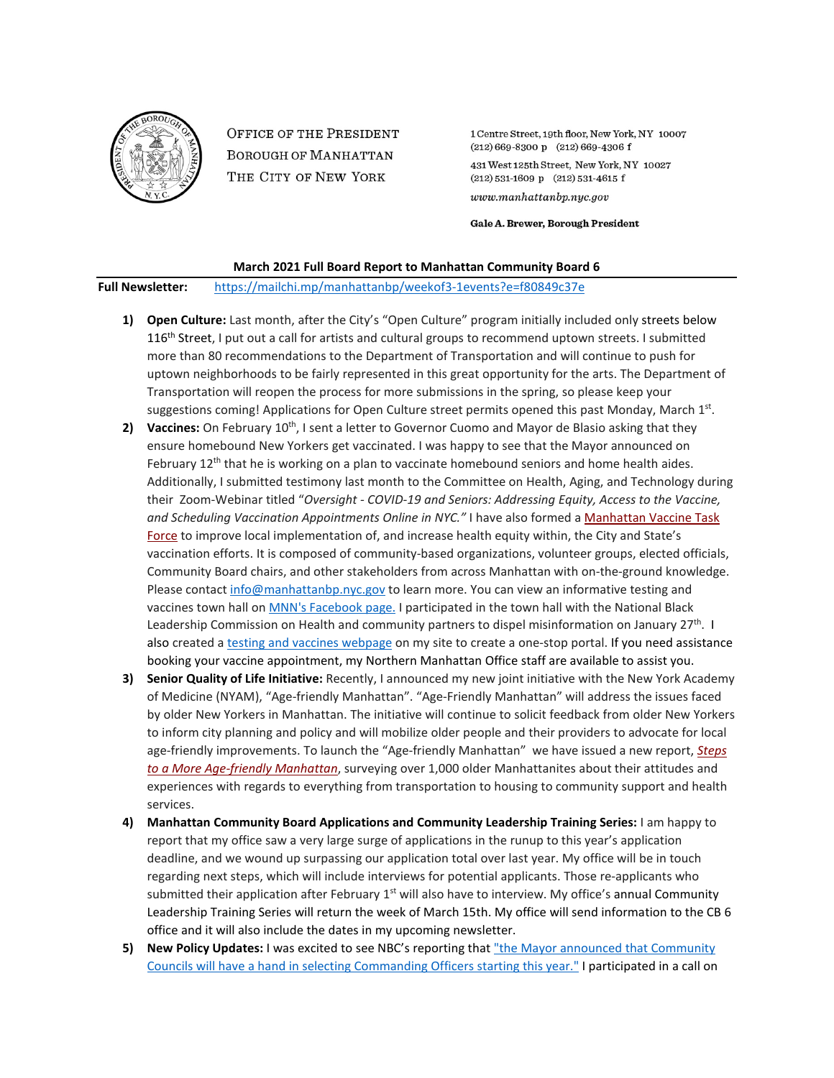

**OFFICE OF THE PRESIDENT BOROUGH OF MANHATTAN** THE CITY OF NEW YORK

1 Centre Street, 19th floor, New York, NY 10007  $(212) 669 - 8300 p$   $(212) 669 - 4306 f$ 431 West 125th Street, New York, NY 10027  $(212) 531 - 1609 p$   $(212) 531 - 4615 f$  $www.manhattanbp.nyc.gov$ 

Gale A. Brewer, Borough President

## **March 2021 Full Board Report to Manhattan Community Board 6**

**Full Newsletter:** <https://mailchi.mp/manhattanbp/weekof3-1events?e=f80849c37e>

- **1) Open Culture:** Last month, after the City's "Open Culture" program initially included only streets below 116<sup>th</sup> Street, I put out a call for artists and cultural groups to recommend uptown streets. I submitted more than 80 recommendations to the Department of Transportation and will continue to push for uptown neighborhoods to be fairly represented in this great opportunity for the arts. The Department of Transportation will reopen the process for more submissions in the spring, so please keep your suggestions coming! Applications for Open Culture street permits opened this past Monday, March 1<sup>st</sup>.
- **2)** Vaccines: On February 10<sup>th</sup>, I sent a letter to Governor Cuomo and Mayor de Blasio asking that they ensure homebound New Yorkers get vaccinated. I was happy to see that the Mayor announced on February  $12<sup>th</sup>$  that he is working on a plan to vaccinate homebound seniors and home health aides. Additionally, I submitted testimony last month to the Committee on Health, Aging, and Technology during their Zoom-Webinar titled "*Oversight - COVID-19 and Seniors: Addressing Equity, Access to the Vaccine, and Scheduling Vaccination Appointments Online in NYC."* I have also formed a [Manhattan Vaccine Task](https://www.harlemworldmagazine.com/manhattan-b-p-gale-a-brewer-announces-formation-of-manhattan-vaccine-task-force/)  [Force](https://www.harlemworldmagazine.com/manhattan-b-p-gale-a-brewer-announces-formation-of-manhattan-vaccine-task-force/) to improve local implementation of, and increase health equity within, the City and State's vaccination efforts. It is composed of community-based organizations, volunteer groups, elected officials, Community Board chairs, and other stakeholders from across Manhattan with on-the-ground knowledge. Please contact [info@manhattanbp.nyc.gov](mailto:info@manhattanbp.nyc.gov) to learn more. You can view an informative testing and vaccines town hall o[n MNN's Facebook page.](https://www.facebook.com/mnnelbarriofirehouse/videos/311069123710551/?__tn__=HH-R) I participated in the town hall with the National Black Leadership Commission on Health and community partners to dispel misinformation on January 27<sup>th</sup>. I also created a [testing and](https://www.manhattanbp.nyc.gov/testing-and-vaccines/) vaccines webpage on my site to create a one-stop portal. If you need assistance booking your vaccine appointment, my Northern Manhattan Office staff are available to assist you.
- **3) Senior Quality of Life Initiative:** Recently, I announced my new joint initiative with the New York Academy of Medicine (NYAM), "Age-friendly Manhattan". "Age-Friendly Manhattan" will address the issues faced by older New Yorkers in Manhattan. The initiative will continue to solicit feedback from older New Yorkers to inform city planning and policy and will mobilize older people and their providers to advocate for local age-friendly improvements. To launch the "Age-friendly Manhattan" we have issued a new report, *[Steps](https://gcc02.safelinks.protection.outlook.com/?url=https%3A%2F%2Fnyc.us11.list-manage.com%2Ftrack%2Fclick%3Fu%3Dbf27f3da34498cc55bd5e1da4%26id%3Db3f926f973%26e%3Ddb4cfc05b4&data=04%7C01%7Capriladams%40manhattanbp.nyc.gov%7C455ff08035b948088f9808d8d41db0dc%7C32f56fc75f814e22a95b15da66513bef%7C0%7C0%7C637492571272421351%7CUnknown%7CTWFpbGZsb3d8eyJWIjoiMC4wLjAwMDAiLCJQIjoiV2luMzIiLCJBTiI6Ik1haWwiLCJXVCI6Mn0%3D%7C1000&sdata=w9GWALgxCukMFw7uYNmMRUKK71ZZu09wJSvzPKnw74A%3D&reserved=0)  [to a More Age-friendly Manhattan](https://gcc02.safelinks.protection.outlook.com/?url=https%3A%2F%2Fnyc.us11.list-manage.com%2Ftrack%2Fclick%3Fu%3Dbf27f3da34498cc55bd5e1da4%26id%3Db3f926f973%26e%3Ddb4cfc05b4&data=04%7C01%7Capriladams%40manhattanbp.nyc.gov%7C455ff08035b948088f9808d8d41db0dc%7C32f56fc75f814e22a95b15da66513bef%7C0%7C0%7C637492571272421351%7CUnknown%7CTWFpbGZsb3d8eyJWIjoiMC4wLjAwMDAiLCJQIjoiV2luMzIiLCJBTiI6Ik1haWwiLCJXVCI6Mn0%3D%7C1000&sdata=w9GWALgxCukMFw7uYNmMRUKK71ZZu09wJSvzPKnw74A%3D&reserved=0)*, surveying over 1,000 older Manhattanites about their attitudes and experiences with regards to everything from transportation to housing to community support and health services.
- **4) Manhattan Community Board Applications and Community Leadership Training Series:** I am happy to report that my office saw a very large surge of applications in the runup to this year's application deadline, and we wound up surpassing our application total over last year. My office will be in touch regarding next steps, which will include interviews for potential applicants. Those re-applicants who submitted their application after February  $1<sup>st</sup>$  will also have to interview. My office's annual Community Leadership Training Series will return the week of March 15th. My office will send information to the CB 6 office and it will also include the dates in my upcoming newsletter.
- **5) New Policy Updates:** I was excited to see NBC's reporting that "the [Mayor announced that Community](https://www.nbcnewyork.com/news/local/communities-will-have-direct-role-in-selecting-nypd-precinct-commanders/2853503/))  [Councils will have a hand in selecting Commanding Officers starting this year."](https://www.nbcnewyork.com/news/local/communities-will-have-direct-role-in-selecting-nypd-precinct-commanders/2853503/)) I participated in a call on